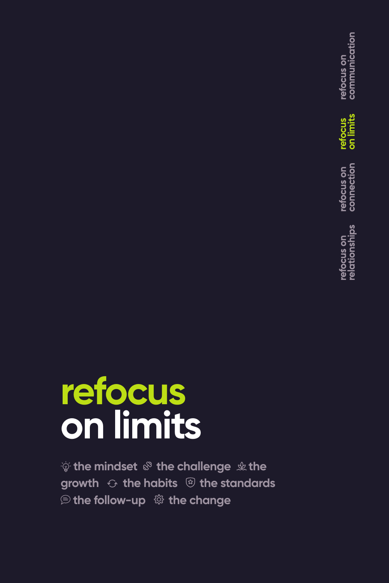# **refocus on limits**

 $\psi$  the mindset  $\mathcal{F}$  the challenge  $\psi$  the growth  $\Theta$  the habits  $\circledR$  the standards **<b>**  the follow-up  $\otimes$  the change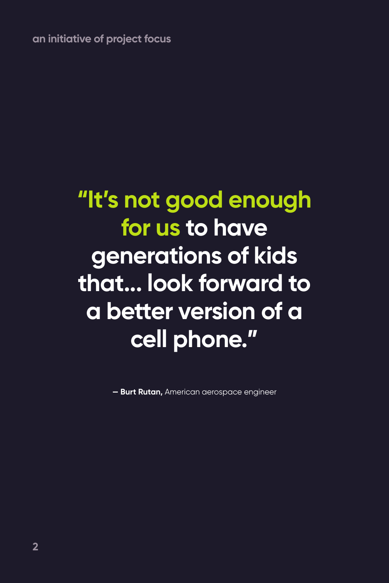**an initiative of project focus**

### **"It's not good enough for us to have generations of kids that... look forward to a better version of a cell phone."**

**— Burt Rutan,** American aerospace engineer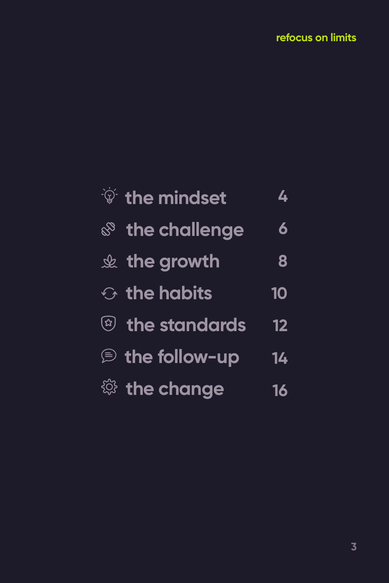| $\frac{1}{2}$ the mindset            | 4         |
|--------------------------------------|-----------|
| <b>&amp; the challenge</b>           | 6         |
| $\&$ the growth                      | 8         |
| $\odot$ the habits                   | <b>10</b> |
| <sup>2</sup> the standards           | 12        |
| <b><i><b>€</b></i> the follow-up</b> | 14        |
| <sup>戀</sup> the change              | 16        |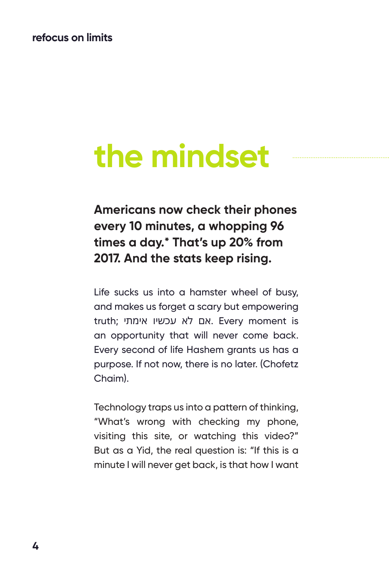#### **refocus on limits**

## **the mindset**

**Americans now check their phones every 10 minutes, a whopping 96 times a day.\* That's up 20% from 2017. And the stats keep rising.**

Life sucks us into a hamster wheel of busy, and makes us forget a scary but empowering truth; אם לא עכשיו אימתי. Every moment is an opportunity that will never come back. Every second of life Hashem grants us has a purpose. If not now, there is no later. (Chofetz Chaim).

Technology traps us into a pattern of thinking, "What's wrong with checking my phone, visiting this site, or watching this video?" But as a Yid, the real question is: "If this is a minute I will never get back, is that how I want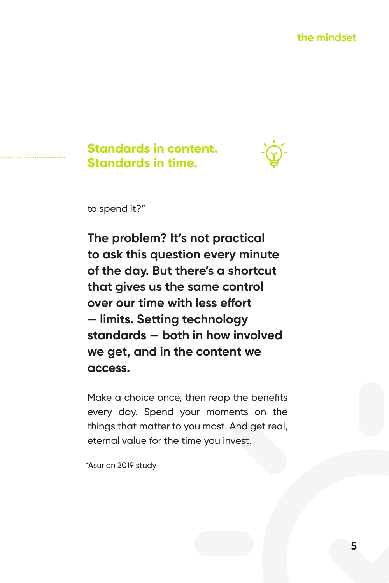#### **Standards in content. Standards in time.**



to spend it?"

**The problem? It's not practical to ask this question every minute of the day. But there's a shortcut that gives us the same control over our time with less effort — limits. Setting technology standards — both in how involved we get, and in the content we access.**

Make a choice once, then reap the benefits every day. Spend your moments on the things that matter to you most. And get real, eternal value for the time you invest.

\*Asurion 2019 study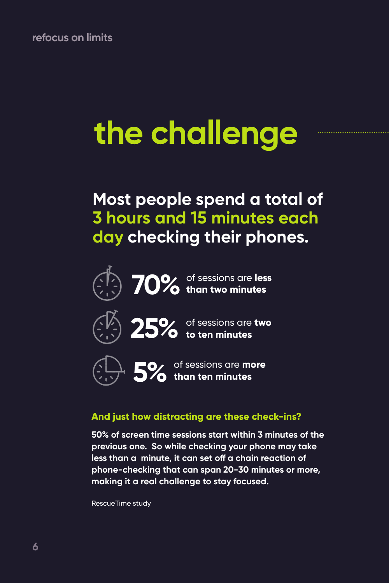# **the challenge**

### **Most people spend a total of 3 hours and 15 minutes each day checking their phones.**





of sessions are **less 70% than two minutes**





of sessions are **two 25% to ten minutes**



of sessions are **more 5% than ten minutes**

#### **And just how distracting are these check-ins?**

**50% of screen time sessions start within 3 minutes of the previous one. So while checking your phone may take less than a minute, it can set off a chain reaction of phone-checking that can span 20-30 minutes or more, making it a real challenge to stay focused.**

RescueTime study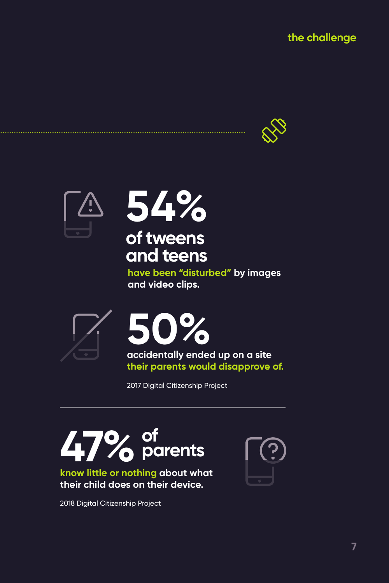







**have been "disturbed" by images and video clips.** 





**accidentally ended up on a site their parents would disapprove of.**

2017 Digital Citizenship Project

# **of 47%parents**



2018 Digital Citizenship Project

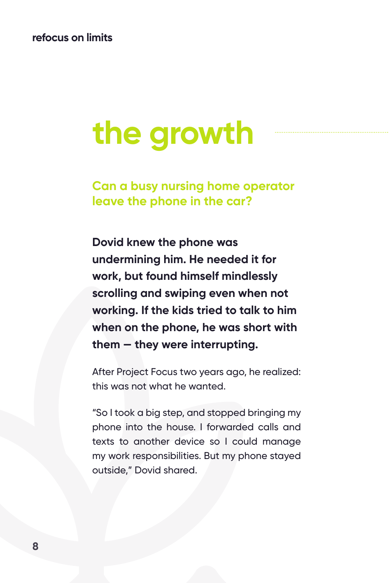## **the growth**

**Can a busy nursing home operator leave the phone in the car?**

**Dovid knew the phone was undermining him. He needed it for work, but found himself mindlessly scrolling and swiping even when not working. If the kids tried to talk to him when on the phone, he was short with them — they were interrupting.**

After Project Focus two years ago, he realized: this was not what he wanted.

"So I took a big step, and stopped bringing my phone into the house. I forwarded calls and texts to another device so I could manage my work responsibilities. But my phone stayed outside," Dovid shared.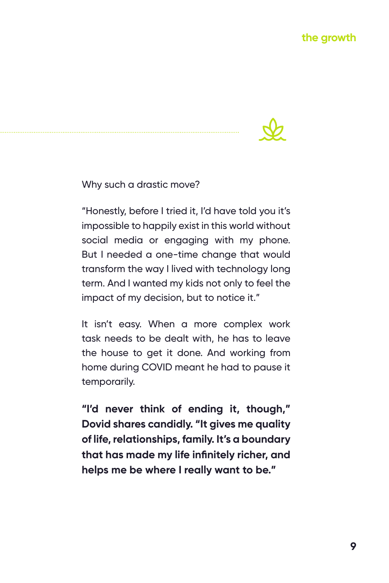

Why such a drastic move?

"Honestly, before I tried it, I'd have told you it's impossible to happily exist in this world without social media or engaging with my phone. But I needed a one-time change that would transform the way I lived with technology long term. And I wanted my kids not only to feel the impact of my decision, but to notice it."

It isn't easy. When a more complex work task needs to be dealt with, he has to leave the house to get it done. And working from home during COVID meant he had to pause it temporarily.

**"I'd never think of ending it, though," Dovid shares candidly. "It gives me quality of life, relationships, family. It's a boundary that has made my life infinitely richer, and helps me be where I really want to be."**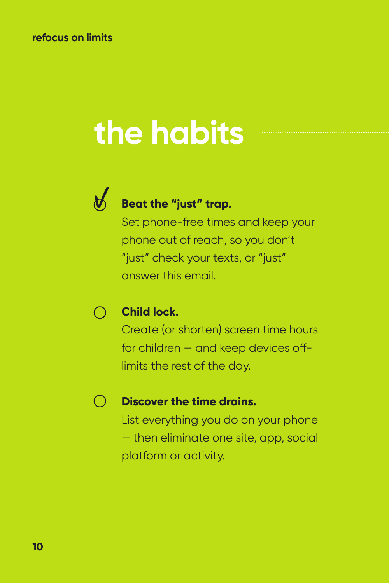# **the habits**



### **Beat the "just" trap.**

Set phone-free times and keep your phone out of reach, so you don't "just" check your texts, or "just" answer this email.

#### **Child lock.**  $(\ )$

Create (or shorten) screen time hours for children — and keep devices offlimits the rest of the day.

#### $\bigcap$ **Discover the time drains.**

List everything you do on your phone — then eliminate one site, app, social platform or activity.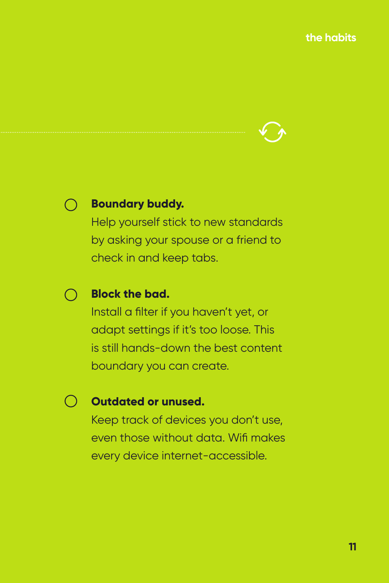

#### **Boundary buddy.**

Help yourself stick to new standards by asking your spouse or a friend to check in and keep tabs.

#### **Block the bad.**

Install a filter if you haven't yet, or adapt settings if it's too loose. This is still hands-down the best content boundary you can create.

#### **Outdated or unused.**

Keep track of devices you don't use, even those without data. Wifi makes every device internet-accessible.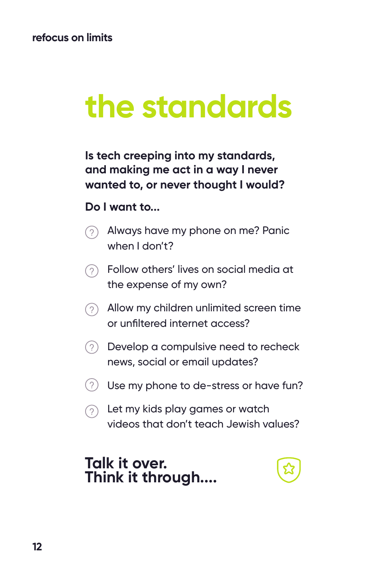## **the standards**

**Is tech creeping into my standards, and making me act in a way I never wanted to, or never thought I would?** 

#### **Do I want to...**

- Always have my phone on me? Panic when I don't?
- Follow others' lives on social media at the expense of my own?
- Allow my children unlimited screen time or unfiltered internet access?
- $(2)$  Develop a compulsive need to recheck news, social or email updates?
- $(2)$  Use my phone to de-stress or have fun?
- $\odot$  Let my kids play games or watch videos that don't teach Jewish values?

#### **Talk it over. Think it through....**

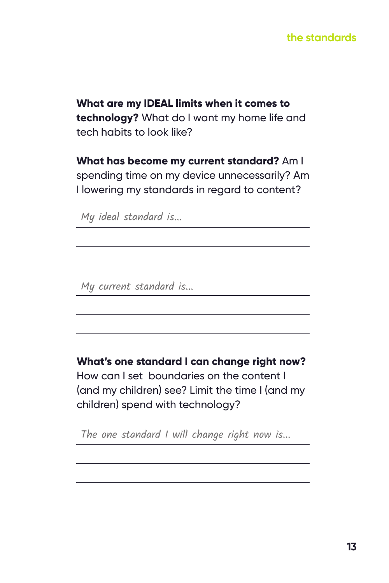#### **the standards**

**What are my IDEAL limits when it comes to technology?** What do I want my home life and tech habits to look like?

**What has become my current standard?** Am I spending time on my device unnecessarily? Am I lowering my standards in regard to content?

My ideal standard is...

My current standard is...

**What's one standard I can change right now?** 

How can I set boundaries on the content I (and my children) see? Limit the time I (and my children) spend with technology?

The one standard I will change right now is...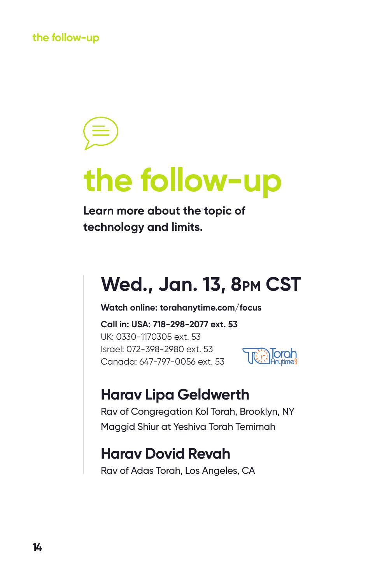## **the follow-up**

**Learn more about the topic of technology and limits.**

### **Wed., Jan. 13, 8pm CST**

**Watch online: torahanytime.com/focus**

**Call in: USA: 718-298-2077 ext. 53** UK: 0330-1170305 ext. 53 Israel: 072-398-2980 ext. 53 Canada: 647-797-0056 ext. 53



### **Harav Lipa Geldwerth**

Rav of Congregation Kol Torah, Brooklyn, NY Maggid Shiur at Yeshiva Torah Temimah

### **Harav Dovid Revah**

Rav of Adas Torah, Los Angeles, CA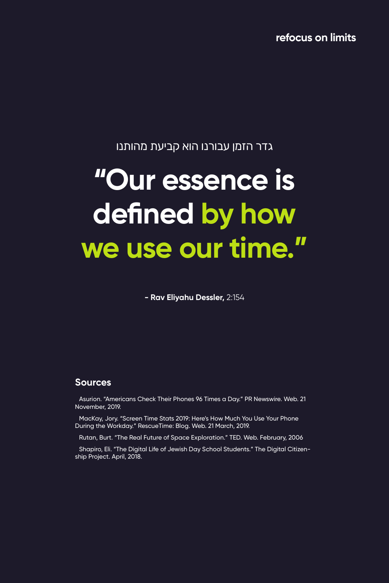**refocus on limits**

#### גדר הזמן עבורנו הוא קביעת מהותנו

### **"Our essence is defined by how we use our time."**

**- Rav Eliyahu Dessler,** 2:154

#### **Sources**

Asurion. "Americans Check Their Phones 96 Times a Day." PR Newswire. Web. 21 November, 2019.

MacKay, Jory. "Screen Time Stats 2019: Here's How Much You Use Your Phone During the Workday." RescueTime: Blog. Web. 21 March, 2019.

Rutan, Burt. "The Real Future of Space Exploration." TED. Web. February, 2006

Shapiro, Eli. "The Digital Life of Jewish Day School Students." The Digital Citizenship Project. April, 2018.